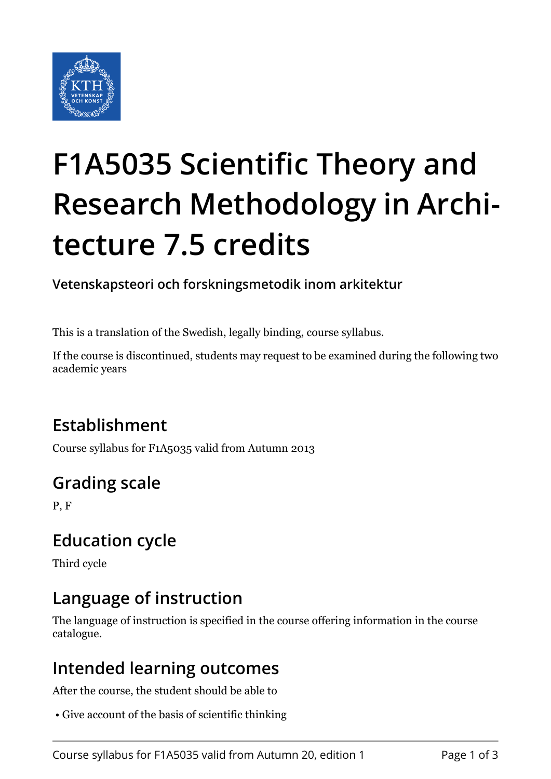

# **F1A5035 Scientific Theory and Research Methodology in Architecture 7.5 credits**

**Vetenskapsteori och forskningsmetodik inom arkitektur**

This is a translation of the Swedish, legally binding, course syllabus.

If the course is discontinued, students may request to be examined during the following two academic years

# **Establishment**

Course syllabus for F1A5035 valid from Autumn 2013

# **Grading scale**

P, F

# **Education cycle**

Third cycle

# **Language of instruction**

The language of instruction is specified in the course offering information in the course catalogue.

### **Intended learning outcomes**

After the course, the student should be able to

• Give account of the basis of scientific thinking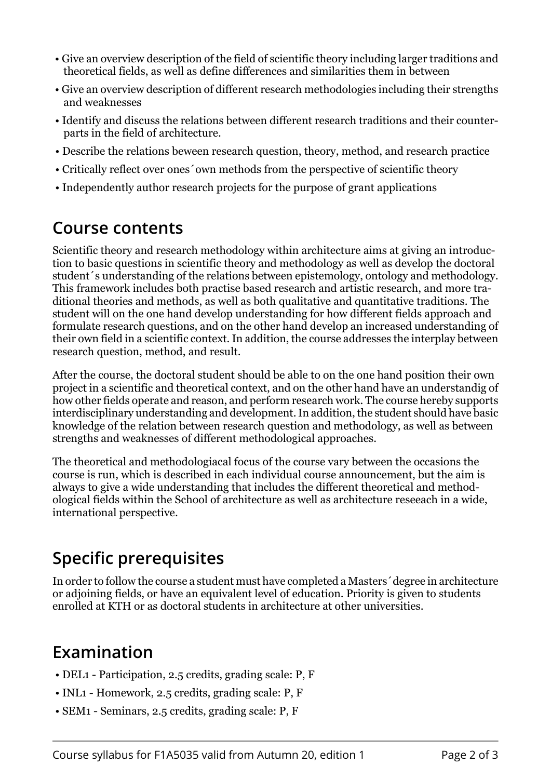- Give an overview description of the field of scientific theory including larger traditions and theoretical fields, as well as define differences and similarities them in between
- Give an overview description of different research methodologies including their strengths and weaknesses
- Identify and discuss the relations between different research traditions and their counterparts in the field of architecture.
- Describe the relations beween research question, theory, method, and research practice
- Critically reflect over ones´own methods from the perspective of scientific theory
- Independently author research projects for the purpose of grant applications

#### **Course contents**

Scientific theory and research methodology within architecture aims at giving an introduction to basic questions in scientific theory and methodology as well as develop the doctoral student´s understanding of the relations between epistemology, ontology and methodology. This framework includes both practise based research and artistic research, and more traditional theories and methods, as well as both qualitative and quantitative traditions. The student will on the one hand develop understanding for how different fields approach and formulate research questions, and on the other hand develop an increased understanding of their own field in a scientific context. In addition, the course addresses the interplay between research question, method, and result.

After the course, the doctoral student should be able to on the one hand position their own project in a scientific and theoretical context, and on the other hand have an understandig of how other fields operate and reason, and perform research work. The course hereby supports interdisciplinary understanding and development. In addition, the student should have basic knowledge of the relation between research question and methodology, as well as between strengths and weaknesses of different methodological approaches.

The theoretical and methodologiacal focus of the course vary between the occasions the course is run, which is described in each individual course announcement, but the aim is always to give a wide understanding that includes the different theoretical and methodological fields within the School of architecture as well as architecture reseeach in a wide, international perspective.

# **Specific prerequisites**

In order to follow the course a student must have completed a Masters´degree in architecture or adjoining fields, or have an equivalent level of education. Priority is given to students enrolled at KTH or as doctoral students in architecture at other universities.

# **Examination**

- DEL1 Participation, 2.5 credits, grading scale: P, F
- INL1 Homework, 2.5 credits, grading scale: P, F
- SEM1 Seminars, 2.5 credits, grading scale: P, F